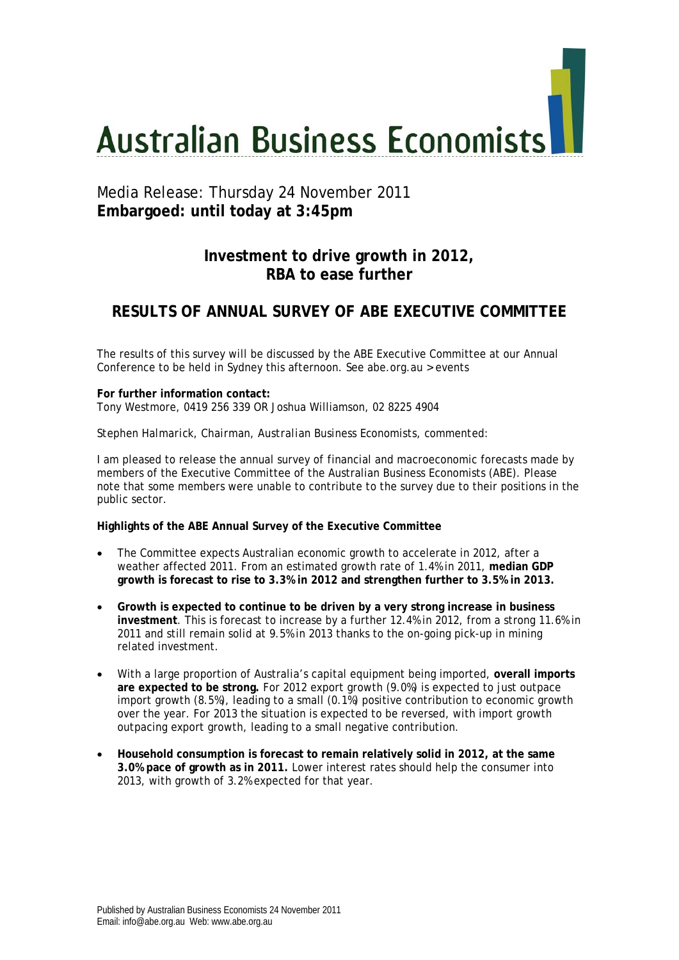# **Australian Business Economists**

# Media Release: Thursday 24 November 2011 **Embargoed: until today at 3:45pm**

# **Investment to drive growth in 2012, RBA to ease further**

# **RESULTS OF ANNUAL SURVEY OF ABE EXECUTIVE COMMITTEE**

The results of this survey will be discussed by the ABE Executive Committee at our Annual Conference to be held in Sydney this afternoon. See abe.org.au > events

**For further information contact:**  Tony Westmore, 0419 256 339 OR Joshua Williamson, 02 8225 4904

### *Stephen Halmarick, Chairman, Australian Business Economists, commented:*

I am pleased to release the annual survey of financial and macroeconomic forecasts made by members of the Executive Committee of the Australian Business Economists (ABE). Please note that some members were unable to contribute to the survey due to their positions in the public sector.

### **Highlights of the ABE Annual Survey of the Executive Committee**

- The Committee expects Australian economic growth to accelerate in 2012, after a weather affected 2011. From an estimated growth rate of 1.4% in 2011, **median GDP growth is forecast to rise to 3.3% in 2012 and strengthen further to 3.5% in 2013.**
- **Growth is expected to continue to be driven by a very strong increase in business investment**. This is forecast to increase by a further 12.4% in 2012, from a strong 11.6% in 2011 and still remain solid at 9.5% in 2013 thanks to the on-going pick-up in mining related investment.
- With a large proportion of Australia's capital equipment being imported, **overall imports are expected to be strong.** For 2012 export growth (9.0%) is expected to just outpace import growth (8.5%), leading to a small (0.1%) positive contribution to economic growth over the year. For 2013 the situation is expected to be reversed, with import growth outpacing export growth, leading to a small negative contribution.
- **Household consumption is forecast to remain relatively solid in 2012, at the same 3.0% pace of growth as in 2011.** Lower interest rates should help the consumer into 2013, with growth of 3.2% expected for that year.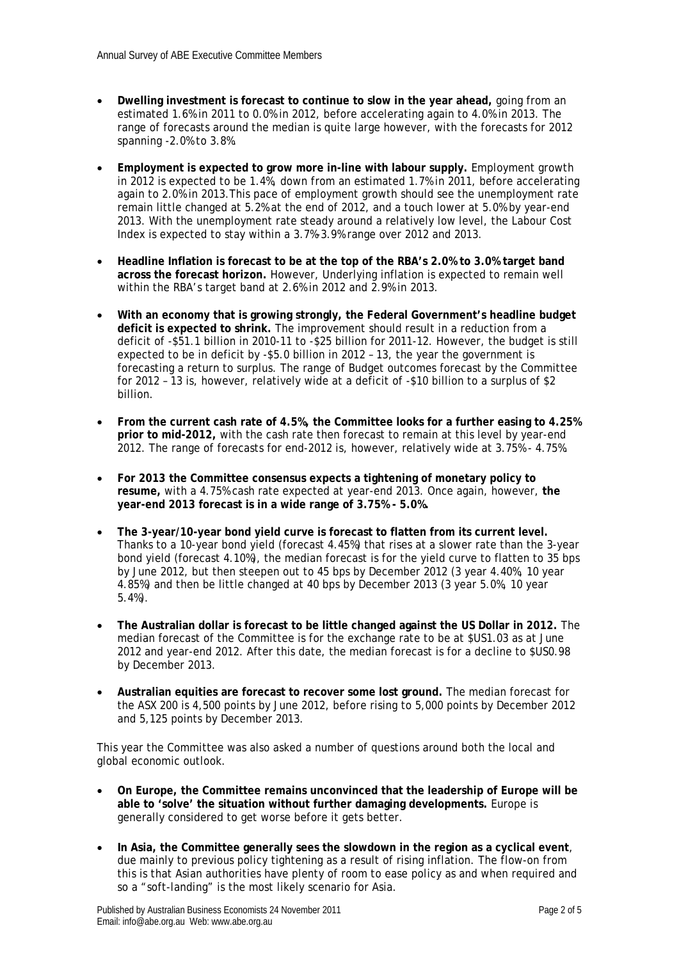- **Dwelling investment is forecast to continue to slow in the year ahead,** going from an estimated 1.6% in 2011 to 0.0% in 2012, before accelerating again to 4.0% in 2013. The range of forecasts around the median is quite large however, with the forecasts for 2012 spanning -2.0% to 3.8%.
- **Employment is expected to grow more in-line with labour supply.** Employment growth in 2012 is expected to be 1.4%, down from an estimated 1.7% in 2011, before accelerating again to 2.0% in 2013.This pace of employment growth should see the unemployment rate remain little changed at 5.2% at the end of 2012, and a touch lower at 5.0% by year-end 2013. With the unemployment rate steady around a relatively low level, the Labour Cost Index is expected to stay within a 3.7%-3.9% range over 2012 and 2013.
- **Headline Inflation is forecast to be at the top of the RBA's 2.0% to 3.0% target band across the forecast horizon.** However, Underlying inflation is expected to remain well within the RBA's target band at 2.6% in 2012 and 2.9% in 2013.
- **With an economy that is growing strongly, the Federal Government's headline budget deficit is expected to shrink.** The improvement should result in a reduction from a deficit of -\$51.1 billion in 2010-11 to -\$25 billion for 2011-12. However, the budget is still expected to be in deficit by -\$5.0 billion in 2012 – 13, the year the government is forecasting a return to surplus. The range of Budget outcomes forecast by the Committee for 2012 – 13 is, however, relatively wide at a deficit of -\$10 billion to a surplus of \$2 billion.
- **From the current cash rate of 4.5%, the Committee looks for a further easing to 4.25% prior to mid-2012,** with the cash rate then forecast to remain at this level by year-end 2012. The range of forecasts for end-2012 is, however, relatively wide at 3.75% - 4.75%.
- **For 2013 the Committee consensus expects a tightening of monetary policy to resume,** with a 4.75% cash rate expected at year-end 2013. Once again, however, **the year-end 2013 forecast is in a wide range of 3.75% - 5.0%.**
- **The 3-year/10-year bond yield curve is forecast to flatten from its current level.**  Thanks to a 10-year bond yield (forecast 4.45%) that rises at a slower rate than the 3-year bond yield (forecast 4.10%), the median forecast is for the yield curve to flatten to 35 bps by June 2012, but then steepen out to 45 bps by December 2012 (3 year 4.40%, 10 year 4.85%) and then be little changed at 40 bps by December 2013 (3 year 5.0%, 10 year 5.4%).
- **The Australian dollar is forecast to be little changed against the US Dollar in 2012.** The median forecast of the Committee is for the exchange rate to be at \$US1.03 as at June 2012 and year-end 2012. After this date, the median forecast is for a decline to \$US0.98 by December 2013.
- **Australian equities are forecast to recover some lost ground.** The median forecast for the ASX 200 is 4,500 points by June 2012, before rising to 5,000 points by December 2012 and 5,125 points by December 2013.

This year the Committee was also asked a number of questions around both the local and global economic outlook.

- **On Europe, the Committee remains unconvinced that the leadership of Europe will be able to 'solve' the situation without further damaging developments.** Europe is generally considered to get worse before it gets better.
- **In Asia, the Committee generally sees the slowdown in the region as a cyclical event**, due mainly to previous policy tightening as a result of rising inflation. The flow-on from this is that Asian authorities have plenty of room to ease policy as and when required and so a "soft-landing" is the most likely scenario for Asia.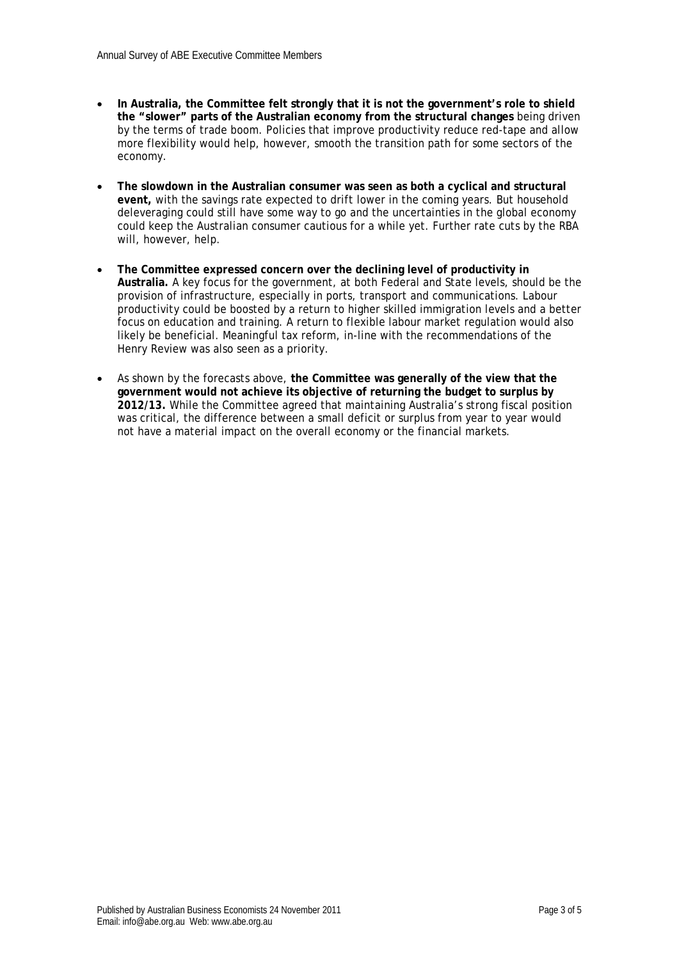- **In Australia, the Committee felt strongly that it is not the government's role to shield the "slower" parts of the Australian economy from the structural changes** being driven by the terms of trade boom. Policies that improve productivity reduce red-tape and allow more flexibility would help, however, smooth the transition path for some sectors of the economy.
- **The slowdown in the Australian consumer was seen as both a cyclical and structural event,** with the savings rate expected to drift lower in the coming years. But household deleveraging could still have some way to go and the uncertainties in the global economy could keep the Australian consumer cautious for a while yet. Further rate cuts by the RBA will, however, help.
- **The Committee expressed concern over the declining level of productivity in Australia.** A key focus for the government, at both Federal and State levels, should be the provision of infrastructure, especially in ports, transport and communications. Labour productivity could be boosted by a return to higher skilled immigration levels and a better focus on education and training. A return to flexible labour market regulation would also likely be beneficial. Meaningful tax reform, in-line with the recommendations of the Henry Review was also seen as a priority.
- As shown by the forecasts above, **the Committee was generally of the view that the government would not achieve its objective of returning the budget to surplus by 2012/13.** While the Committee agreed that maintaining Australia's strong fiscal position was critical, the difference between a small deficit or surplus from year to year would not have a material impact on the overall economy or the financial markets.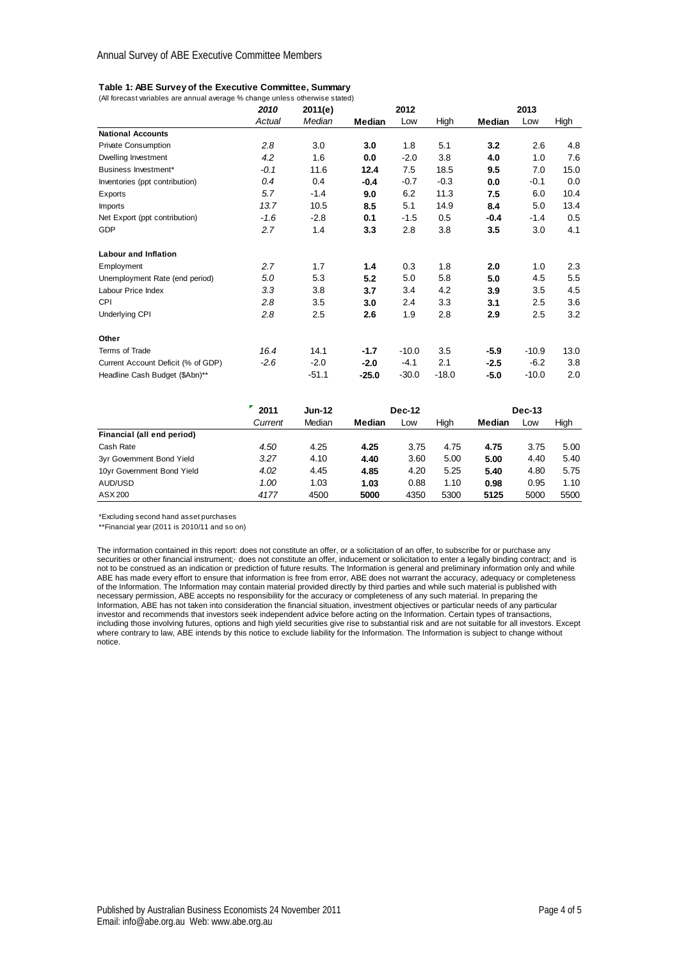### **Table 1: ABE Survey of the Executive Committee, Summary**

| (All forecast variables are annual average % change unless otherwise stated) |        |         |         |         |         |        |         |      |
|------------------------------------------------------------------------------|--------|---------|---------|---------|---------|--------|---------|------|
|                                                                              | 2010   | 2011(e) | 2012    |         |         | 2013   |         |      |
|                                                                              | Actual | Median  | Median  | Low     | High    | Median | Low     | High |
| <b>National Accounts</b>                                                     |        |         |         |         |         |        |         |      |
| <b>Private Consumption</b>                                                   | 2.8    | 3.0     | 3.0     | 1.8     | 5.1     | 3.2    | 2.6     | 4.8  |
| Dwelling Investment                                                          | 4.2    | 1.6     | 0.0     | $-2.0$  | 3.8     | 4.0    | 1.0     | 7.6  |
| Business Investment*                                                         | $-0.1$ | 11.6    | 12.4    | 7.5     | 18.5    | 9.5    | 7.0     | 15.0 |
| Inventories (ppt contribution)                                               | 0.4    | 0.4     | $-0.4$  | $-0.7$  | $-0.3$  | 0.0    | $-0.1$  | 0.0  |
| Exports                                                                      | 5.7    | $-1.4$  | 9.0     | 6.2     | 11.3    | 7.5    | 6.0     | 10.4 |
| Imports                                                                      | 13.7   | 10.5    | 8.5     | 5.1     | 14.9    | 8.4    | 5.0     | 13.4 |
| Net Export (ppt contribution)                                                | $-1.6$ | $-2.8$  | 0.1     | $-1.5$  | 0.5     | $-0.4$ | $-1.4$  | 0.5  |
| GDP                                                                          | 2.7    | 1.4     | 3.3     | 2.8     | 3.8     | 3.5    | 3.0     | 4.1  |
| <b>Labour and Inflation</b>                                                  |        |         |         |         |         |        |         |      |
| Employment                                                                   | 2.7    | 1.7     | 1.4     | 0.3     | 1.8     | 2.0    | 1.0     | 2.3  |
| Unemployment Rate (end period)                                               | 5.0    | 5.3     | 5.2     | 5.0     | 5.8     | 5.0    | 4.5     | 5.5  |
| Labour Price Index                                                           | 3.3    | 3.8     | 3.7     | 3.4     | 4.2     | 3.9    | 3.5     | 4.5  |
| CPI                                                                          | 2.8    | 3.5     | 3.0     | 2.4     | 3.3     | 3.1    | 2.5     | 3.6  |
| Underlying CPI                                                               | 2.8    | 2.5     | 2.6     | 1.9     | 2.8     | 2.9    | 2.5     | 3.2  |
| Other                                                                        |        |         |         |         |         |        |         |      |
| Terms of Trade                                                               | 16.4   | 14.1    | $-1.7$  | $-10.0$ | 3.5     | $-5.9$ | $-10.9$ | 13.0 |
| Current Account Deficit (% of GDP)                                           | $-2.6$ | $-2.0$  | $-2.0$  | $-4.1$  | 2.1     | $-2.5$ | $-6.2$  | 3.8  |
| Headline Cash Budget (\$Abn)**                                               |        | $-51.1$ | $-25.0$ | $-30.0$ | $-18.0$ | $-5.0$ | $-10.0$ | 2.0  |

|                            | 2011<br>Current | <b>Jun-12</b><br>Median | <b>Dec-12</b> |      |      | <b>Dec-13</b> |      |      |
|----------------------------|-----------------|-------------------------|---------------|------|------|---------------|------|------|
|                            |                 |                         | Median        | Low  | High | Median        | Low  | High |
| Financial (all end period) |                 |                         |               |      |      |               |      |      |
| Cash Rate                  | 4.50            | 4.25                    | 4.25          | 3.75 | 4.75 | 4.75          | 3.75 | 5.00 |
| 3yr Government Bond Yield  | 3.27            | 4.10                    | 4.40          | 3.60 | 5.00 | 5.00          | 4.40 | 5.40 |
| 10yr Government Bond Yield | 4.02            | 4.45                    | 4.85          | 4.20 | 5.25 | 5.40          | 4.80 | 5.75 |
| AUD/USD                    | 1.00            | 1.03                    | 1.03          | 0.88 | 1.10 | 0.98          | 0.95 | 1.10 |
| ASX 200                    | 4177            | 4500                    | 5000          | 4350 | 5300 | 5125          | 5000 | 5500 |

\*Excluding second hand asset purchases

\*\*Financial year (2011 is 2010/11 and so on)

The information contained in this report: does not constitute an offer, or a solicitation of an offer, to subscribe for or purchase any securities or other financial instrument;· does not constitute an offer, inducement or solicitation to enter a legally binding contract; and is not to be construed as an indication or prediction of future results. The Information is general and preliminary information only and while ABE has made every effort to ensure that information is free from error, ABE does not warrant the accuracy, adequacy or completeness of the Information. The Information may contain material provided directly by third parties and while such material is published with necessary permission, ABE accepts no responsibility for the accuracy or completeness of any such material. In preparing the Information, ABE has not taken into consideration the financial situation, investment objectives or particular needs of any particular investor and recommends that investors seek independent advice before acting on the Information. Certain types of transactions, including those involving futures, options and high yield securities give rise to substantial risk and are not suitable for all investors. Except where contrary to law, ABE intends by this notice to exclude liability for the Information. The Information is subject to change without notice.